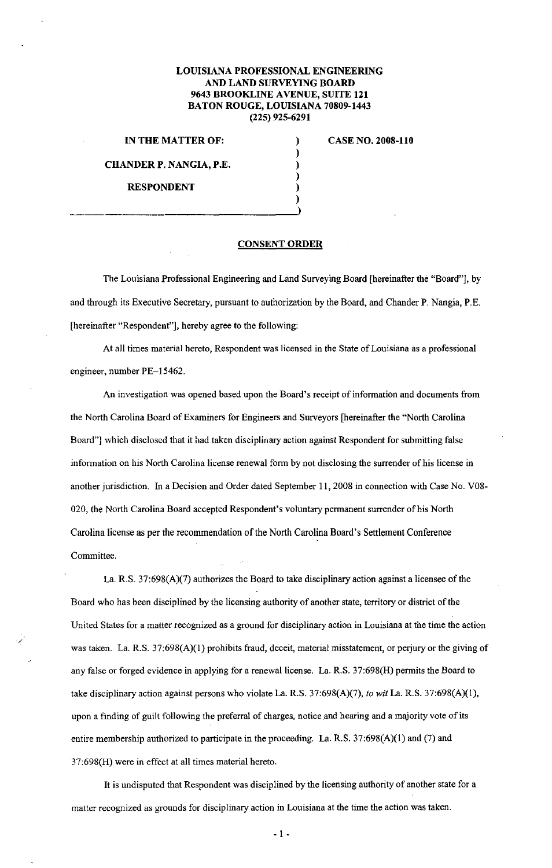## **LOUISIANA PROFESSIONAL ENGINEERING AND LAND SURVEYING BOARD 9643 BROOKLINE AVENUE, SUITE 121 BATON ROUGE, LOUISIANA 70809-1443 (225) 925-6291**

) ) ) ) ) )

**IN THE MATTER OF: CASE NO. 2008-110 CHANDER P. NANGIA, P.E. RESPONDENT** 

*/* 

## **CONSENT ORDER**

The Louisiana Professional Engineering and Land Surveying Board [hereinafter the "Board"], by and through its Executive Secretary, pursuant to authorization by the Board, and Chander **P.** Nangia, P.E. [hereinafter "Respondent"], hereby agree to the following:

At all times material hereto, Respondent was licensed in the State of Louisiana as a professional engineer, number PE-15462.

An investigation was opened based upon the Board's receipt of information and documents from the North Carolina Board of Examiners for Engineers and Surveyors [hereinafter the "North Carolina Board"] which disclosed that it had taken disciplinary action against Respondent for submitting false information on his North Carolina license renewal form by not disclosing the surrender of his license in another jurisdiction. In a Decision and Order dated September II, 2008 in connection with Case No. V08- 020, the North Carolina Board accepted Respondent's voluntary permanent surrender of his North Carolina license as per the recommendation of the North Carolina Board's Settlement Conference Committee.

La. R.S. 37:698(A)(7) authorizes the Board to take disciplinary action against a licensee of the Board who has been disciplined by the licensing authority of another state, territory or district of the United States for a matter recognized as a ground for disciplinary action in Louisiana at the time the action was taken. La. R.S. 37:698(A)(l) prohibits fraud, deceit, material misstatement, or perjury or the giving of any false or forged evidence in applying for a renewal license. La. R.S. 37:698(H) permits the Board to take disciplinary action against persons who violate La. R.S. 37:698(A)(7), *to wit* La. R.S. 37:698(A)(l ), upon a finding of guilt following the preferral of charges, notice and hearing and a majority vote of its entire membership authorized to participate in the proceeding. La. R.S. 37:698(A)(I) and (7) and 37:698(H) were in effect at all times material hereto.

It is undisputed that Respondent was disciplined by the licensing authority of another state for a matter recognized as grounds for disciplinary action in Louisiana at the time the action was taken.

 $-1 -$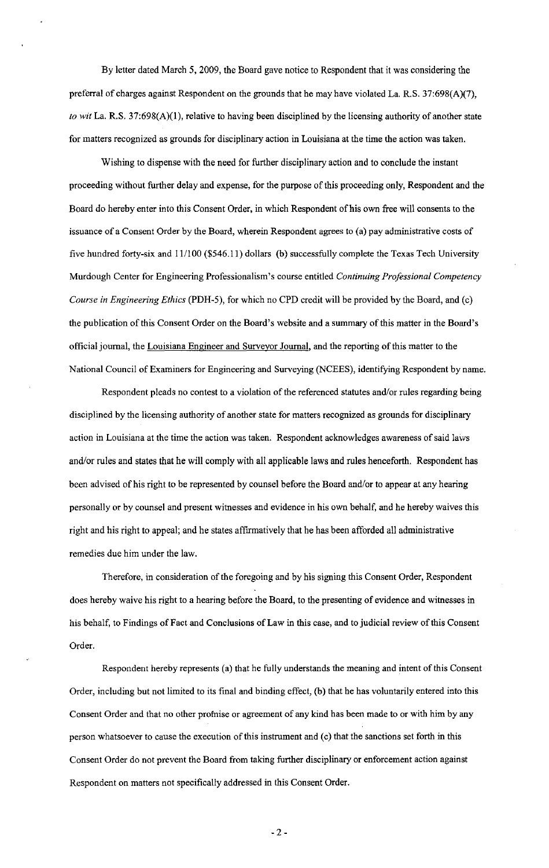By letter dated March 5, 2009, the Board gave notice to Respondent that it was considering the preferral of charges against Respondent on the grounds that he may have violated La. R.S. 37:698(A)(7), *to wit* La. R.S. 37:698(A)(1), relative to having been disciplined by the licensing authority of another state for matters recognized as grounds for disciplinary action in Louisiana at the time the action was taken.

Wishing to dispense with the need for further disciplinary action and to conclude the instant proceeding without further delay and expense, for the purpose of this proceeding only, Respondent and the Board do hereby enter into this Consent Order, in which Respondent of his own free will consents to the issuance of a Consent Order by the Board, wherein Respondent agrees to (a) pay administrative costs of five hundred forty-six and 11/100 (\$546.11) dollars (b) successfully complete the Texas Tech University Murdough Center for Engineering Professionalism's course entitled *Continuing Professional Competency Course* in *Engineering Ethics* (PDH-5), for which no CPD credit will be provided by the Board, and (c) the publication of this Consent Order on the Board's website and a summary of this matter in the Board's official journal, the Louisiana Engineer and Surveyor Journal, and the reporting of this matter to the National Council of Examiners for Engineering and Surveying (NCEES), identifying Respondent by name.

Respondent pleads no contest to a violation of the referenced statutes and/or rules regarding being disciplined by the licensing authority of another state for matters recognized as grounds for disciplinary action in Louisiana at the time the action was taken. Respondent acknowledges awareness of said Jaws and/or rules and states that he will comply with all applicable laws and rules henceforth. Respondent has been advised of his right to be represented by counsel before the Board and/or to appear at any hearing personally or by counsel and present witnesses and evidence in his own behalf, and he hereby waives this right and his right to appeal; and he states affirmatively that he has been afforded all administrative remedies due him under the law.

Therefore, in consideration of the foregoing and by his signing this Consent Order, Respondent does hereby waive his right to a hearing before the Board, to the presenting of evidence and witnesses in his behalf, to Findings of Fact and Conclusions of Law in this case, and to judicial review of this Consent Order.

Respondent hereby represents (a) that he fully understands the meaning and intent of this Consent Order, including but not limited to its final and binding effect, (b) that he has voluntarily entered into this Consent Order and that no other promise or agreement of any kind has been made to or with him by any person whatsoever to cause the execution of this instrument and (c) that the sanctions set forth in this Consent Order do not prevent the Board from taking further disciplinary or enforcement action against Respondent on matters not specifically addressed in this Consent Order.

- 2-